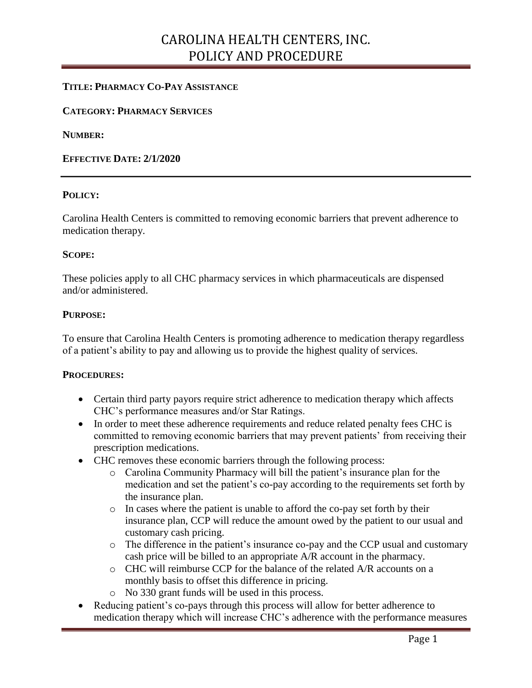## CAROLINA HEALTH CENTERS, INC. POLICY AND PROCEDURE

### **TITLE: PHARMACY CO-PAY ASSISTANCE**

#### **CATEGORY: PHARMACY SERVICES**

**NUMBER:**

#### **EFFECTIVE DATE: 2/1/2020**

#### **POLICY:**

Carolina Health Centers is committed to removing economic barriers that prevent adherence to medication therapy.

#### **SCOPE:**

These policies apply to all CHC pharmacy services in which pharmaceuticals are dispensed and/or administered.

#### **PURPOSE:**

To ensure that Carolina Health Centers is promoting adherence to medication therapy regardless of a patient's ability to pay and allowing us to provide the highest quality of services.

#### **PROCEDURES:**

- Certain third party payors require strict adherence to medication therapy which affects CHC's performance measures and/or Star Ratings.
- In order to meet these adherence requirements and reduce related penalty fees CHC is committed to removing economic barriers that may prevent patients' from receiving their prescription medications.
- CHC removes these economic barriers through the following process:
	- o Carolina Community Pharmacy will bill the patient's insurance plan for the medication and set the patient's co-pay according to the requirements set forth by the insurance plan.
	- o In cases where the patient is unable to afford the co-pay set forth by their insurance plan, CCP will reduce the amount owed by the patient to our usual and customary cash pricing.
	- o The difference in the patient's insurance co-pay and the CCP usual and customary cash price will be billed to an appropriate A/R account in the pharmacy.
	- o CHC will reimburse CCP for the balance of the related A/R accounts on a monthly basis to offset this difference in pricing.
	- o No 330 grant funds will be used in this process.
- Reducing patient's co-pays through this process will allow for better adherence to medication therapy which will increase CHC's adherence with the performance measures